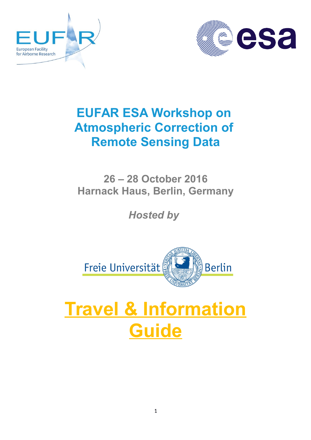



## **EUFAR ESA Workshop on Atmospheric Correction of Remote Sensing Data**

**26 – 28 October 2016 Harnack Haus, Berlin, Germany**

*Hosted by* 



# **Travel & Information Guide**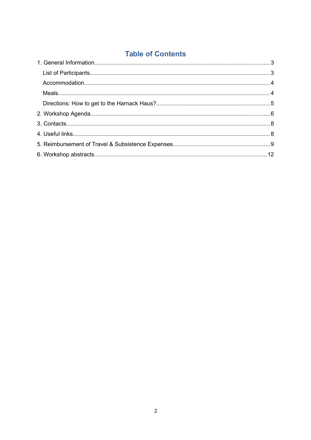## **Table of Contents**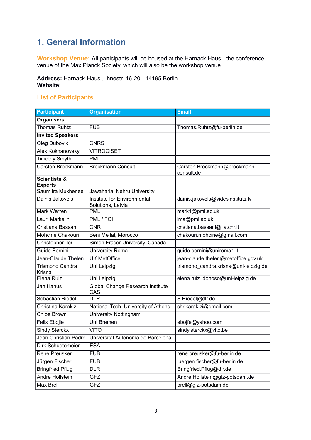## <span id="page-2-1"></span>**1. General Information**

 **Workshop Venue:** All participants will be housed at the Harnack Haus - the conference venue of the Max Planck Society, which will also be the workshop venue.

**Address:** Harnack-Haus., Ihnestr. 16-20 - 14195 Berlin **Website:** 

#### <span id="page-2-0"></span>**List of Participants**

| <b>Participant</b>                        | <b>Organisation</b>                              | <b>Email</b>                               |  |
|-------------------------------------------|--------------------------------------------------|--------------------------------------------|--|
| <b>Organisers</b>                         |                                                  |                                            |  |
| <b>Thomas Ruhtz</b>                       | <b>FUB</b>                                       | Thomas.Ruhtz@fu-berlin.de                  |  |
| <b>Invited Speakers</b>                   |                                                  |                                            |  |
| Oleg Dubovik                              | <b>CNRS</b>                                      |                                            |  |
| Alex Kokhanovsky                          | <b>VITROCISET</b>                                |                                            |  |
| <b>Timothy Smyth</b>                      | <b>PML</b>                                       |                                            |  |
| Carsten Brockmann                         | <b>Brockmann Consult</b>                         | Carsten.Brockmann@brockmann-<br>consult.de |  |
| <b>Scientists &amp;</b><br><b>Experts</b> |                                                  |                                            |  |
| Saumitra Mukherjee                        | Jawaharlal Nehru University                      |                                            |  |
| Dainis Jakovels                           | Institute for Environmental<br>Solutions, Latvia | dainis.jakovels@videsinstituts.lv          |  |
| Mark Warren                               | <b>PML</b>                                       | mark1@pml.ac.uk                            |  |
| Lauri Markelin                            | PML / FGI                                        | Ima@pml.ac.uk                              |  |
| Cristiana Bassani                         | <b>CNR</b>                                       | cristiana.bassani@iia.cnr.it               |  |
| Mohcine Chakouri                          | Beni Mellal, Morocco                             | chakouri.mohcine@gmail.com                 |  |
| Christopher Ilori                         | Simon Fraser University, Canada                  |                                            |  |
| Guido Bernini                             | <b>University Roma</b>                           | guido.bernini@uniroma1.it                  |  |
| Jean-Claude Thelen                        | <b>UK MetOffice</b>                              | jean-claude.thelen@metoffice.gov.uk        |  |
| Trismono Candra<br>Krisna                 | Uni Leipzig                                      | trismono_candra.krisna@uni-leipzig.de      |  |
| Elena Ruiz                                | Uni Leipzig                                      | elena.ruiz_donoso@uni-leipzig.de           |  |
| Jan Hanus                                 | Global Change Research Institute<br>CAS          |                                            |  |
| Sebastian Riedel                          | <b>DLR</b>                                       | S.Riedel@dlr.de                            |  |
| Christina Karakizi                        | National Tech. University of Athens              | chr.karakizi@gmail.com                     |  |
| Chloe Brown                               | <b>University Nottingham</b>                     |                                            |  |
| Felix Ebojie                              | Uni Bremen                                       | ebojfe@yahoo.com                           |  |
| <b>Sindy Sterckx</b>                      | <b>VITO</b>                                      | sindy.sterckx@vito.be                      |  |
| Joan Christian Padro                      | Universitat Autònoma de Barcelona                |                                            |  |
| Dirk Schuetemeier                         | <b>ESA</b>                                       |                                            |  |
| <b>Rene Preusker</b>                      | <b>FUB</b>                                       | rene.preusker@fu-berlin.de                 |  |
| Jürgen Fischer                            | <b>FUB</b>                                       | juergen.fischer@fu-berlin.de               |  |
| <b>Bringfried Pflug</b>                   | <b>DLR</b>                                       | Bringfried.Pflug@dlr.de                    |  |
| <b>Andre Hollstein</b>                    | <b>GFZ</b>                                       | Andre.Hollstein@gfz-potsdam.de             |  |
| Max Brell                                 | <b>GFZ</b>                                       | brell@gfz-potsdam.de                       |  |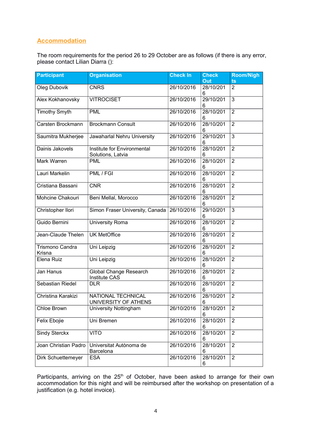#### <span id="page-3-0"></span>**Accommodation**

The room requirements for the period 26 to 29 October are as follows (if there is any error, please contact Lilian Diarra ():

| <b>Participant</b>        | <b>Organisation</b>                              | <b>Check In</b> | <b>Check</b><br>Out | <b>Room/Nigh</b><br>ts |
|---------------------------|--------------------------------------------------|-----------------|---------------------|------------------------|
| Oleg Dubovik              | <b>CNRS</b>                                      | 26/10/2016      | 28/10/201<br>6      | 2                      |
| Alex Kokhanovsky          | <b>VITROCISET</b>                                | 26/10/2016      | 29/10/201<br>6      |                        |
| <b>Timothy Smyth</b>      | <b>PML</b>                                       | 26/10/2016      | 28/10/201<br>6      | $\overline{2}$         |
| Carsten Brockmann         | <b>Brockmann Consult</b>                         | 26/10/2016      | 28/10/201<br>6      | $\overline{2}$         |
| Saumitra Mukherjee        | Jawaharlal Nehru University                      | 26/10/2016      | 29/10/201<br>6      | $\overline{3}$         |
| Dainis Jakovels           | Institute for Environmental<br>Solutions, Latvia | 26/10/2016      | 28/10/201<br>6      | $\overline{2}$         |
| Mark Warren               | <b>PML</b>                                       | 26/10/2016      | 28/10/201<br>6      | $\overline{2}$         |
| Lauri Markelin            | PML/FGI                                          | 26/10/2016      | 28/10/201<br>6      | $\overline{2}$         |
| Cristiana Bassani         | <b>CNR</b>                                       | 26/10/2016      | 28/10/201<br>6      | $\overline{2}$         |
| Mohcine Chakouri          | Beni Mellal, Morocco                             | 26/10/2016      | 28/10/201<br>6      | $\overline{2}$         |
| Christopher Ilori         | Simon Fraser University, Canada                  | 26/10/2016      | 29/10/201<br>6      | $\overline{3}$         |
| Guido Bernini             | University Roma                                  | 26/10/2016      | 28/10/201<br>6      | $\overline{2}$         |
| Jean-Claude Thelen        | <b>UK MetOffice</b>                              | 26/10/2016      | 28/10/201<br>6      | $\overline{2}$         |
| Trismono Candra<br>Krisna | Uni Leipzig                                      | 26/10/2016      | 28/10/201<br>6      | $\overline{2}$         |
| Elena Ruiz                | Uni Leipzig                                      | 26/10/2016      | 28/10/201<br>6      | $\overline{2}$         |
| Jan Hanus                 | Global Change Research<br><b>Institute CAS</b>   | 26/10/2016      | 28/10/201<br>6      | $\overline{2}$         |
| Sebastian Riedel          | <b>DLR</b>                                       | 26/10/2016      | 28/10/201<br>6      | $\overline{2}$         |
| Christina Karakizi        | NATIONAL TECHNICAL<br>UNIVERSITY OF ATHENS       | 26/10/2016      | 28/10/201<br>6      | $\overline{2}$         |
| Chloe Brown               | University Nottingham                            | 26/10/2016      | 28/10/201<br>6      | $\overline{2}$         |
| Felix Ebojie              | Uni Bremen                                       | 26/10/2016      | 28/10/201<br>6      | $\overline{2}$         |
| <b>Sindy Sterckx</b>      | <b>VITO</b>                                      | 26/10/2016      | 28/10/201<br>6      | $\overline{2}$         |
| Joan Christian Padro      | Universitat Autònoma de<br>Barcelona             | 26/10/2016      | 28/10/201<br>6      | $\overline{2}$         |
| Dirk Schuettemeyer        | <b>ESA</b>                                       | 26/10/2016      | 28/10/201<br>6      | $\overline{2}$         |

Participants, arriving on the 25<sup>th</sup> of October, have been asked to arrange for their own accommodation for this night and will be reimbursed after the workshop on presentation of a justification (e.g. hotel invoice).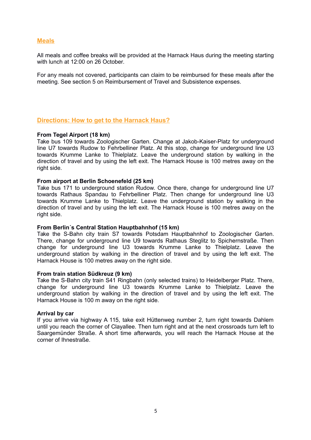#### <span id="page-4-1"></span> **Meals**

All meals and coffee breaks will be provided at the Harnack Haus during the meeting starting with lunch at 12:00 on 26 October

For any meals not covered, participants can claim to be reimbursed for these meals after the meeting. See section 5 on Reimbursement of Travel and Subsistence expenses.

#### <span id="page-4-0"></span>**Directions: How to get to the Harnack Haus?**

#### **From Tegel Airport (18 km)**

Take bus 109 towards Zoologischer Garten. Change at Jakob-Kaiser-Platz for underground line U7 towards Rudow to Fehrbelliner Platz. At this stop, change for underground line U3 towards Krumme Lanke to Thielplatz. Leave the underground station by walking in the direction of travel and by using the left exit. The Harnack House is 100 metres away on the right side.

#### **From airport at Berlin Schoenefeld (25 km)**

Take bus 171 to underground station Rudow. Once there, change for underground line U7 towards Rathaus Spandau to Fehrbelliner Platz. Then change for underground line U3 towards Krumme Lanke to Thielplatz. Leave the underground station by walking in the direction of travel and by using the left exit. The Harnack House is 100 metres away on the right side.

#### **From Berlin´s Central Station Hauptbahnhof (15 km)**

Take the S-Bahn city train S7 towards Potsdam Hauptbahnhof to Zoologischer Garten. There, change for underground line U9 towards Rathaus Steglitz to Spichernstraße. Then change for underground line U3 towards Krumme Lanke to Thielplatz. Leave the underground station by walking in the direction of travel and by using the left exit. The Harnack House is 100 metres away on the right side.

#### **From train station Südkreuz (9 km)**

Take the S-Bahn city train S41 Ringbahn (only selected trains) to Heidelberger Platz. There, change for underground line U3 towards Krumme Lanke to Thielplatz. Leave the underground station by walking in the direction of travel and by using the left exit. The Harnack House is 100 m away on the right side.

#### **Arrival by car**

If you arrive via highway A 115, take exit Hüttenweg number 2, turn right towards Dahlem until you reach the corner of Clayallee. Then turn right and at the next crossroads turn left to Saargemünder Straße. A short time afterwards, you will reach the Harnack House at the corner of Ihnestraße.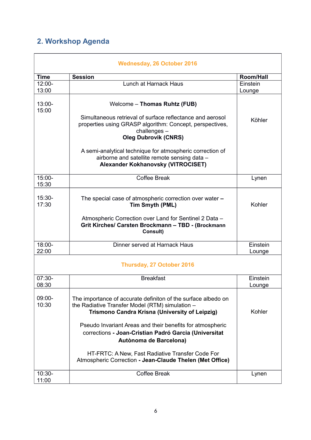## <span id="page-5-0"></span>**2. Workshop Agenda**

| <b>Wednesday, 26 October 2016</b> |                                                                                                                                                                     |                    |  |  |
|-----------------------------------|---------------------------------------------------------------------------------------------------------------------------------------------------------------------|--------------------|--|--|
| <b>Time</b>                       | <b>Session</b>                                                                                                                                                      | <b>Room/Hall</b>   |  |  |
| $12:00 -$                         | Lunch at Harnack Haus                                                                                                                                               | Einstein           |  |  |
| 13:00                             |                                                                                                                                                                     | Lounge             |  |  |
| $13:00 -$<br>15:00                | Welcome - Thomas Ruhtz (FUB)                                                                                                                                        |                    |  |  |
|                                   | Simultaneous retrieval of surface reflectance and aerosol<br>properties using GRASP algorithm: Concept, perspectives,<br>challenges-<br><b>Oleg Dubrovik (CNRS)</b> | Köhler             |  |  |
|                                   | A semi-analytical technique for atmospheric correction of<br>airborne and satellite remote sensing data -<br>Alexander Kokhanovsky (VITROCISET)                     |                    |  |  |
| 15:00-<br>15:30                   | <b>Coffee Break</b>                                                                                                                                                 | Lynen              |  |  |
| $15:30-$<br>17:30                 | The special case of atmospheric correction over water -<br>Tim Smyth (PML)                                                                                          |                    |  |  |
|                                   | Atmospheric Correction over Land for Sentinel 2 Data -<br>Grit Kirches/ Carsten Brockmann - TBD - (Brockmann<br>Consult)                                            |                    |  |  |
| $18:00 -$<br>22:00                | Dinner served at Harnack Haus                                                                                                                                       | Einstein<br>Lounge |  |  |
|                                   | <b>Thursday, 27 October 2016</b>                                                                                                                                    |                    |  |  |
| $07:30-$<br>08:30                 | <b>Breakfast</b>                                                                                                                                                    | Einstein<br>Lounge |  |  |
| $09:00-$<br>10:30                 | The importance of accurate definiton of the surface albedo on<br>the Radiative Transfer Model (RTM) simulation -<br>Trismono Candra Krisna (University of Leipzig)  | Kohler             |  |  |
|                                   | Pseudo Invariant Areas and their benefits for atmospheric<br>corrections - Joan-Cristian Padró Garcia (Universitat<br>Autònoma de Barcelona)                        |                    |  |  |
|                                   | HT-FRTC: A New, Fast Radiative Transfer Code For<br>Atmospheric Correction - Jean-Claude Thelen (Met Office)                                                        |                    |  |  |
| $10:30-$<br>11:00                 | <b>Coffee Break</b>                                                                                                                                                 | Lynen              |  |  |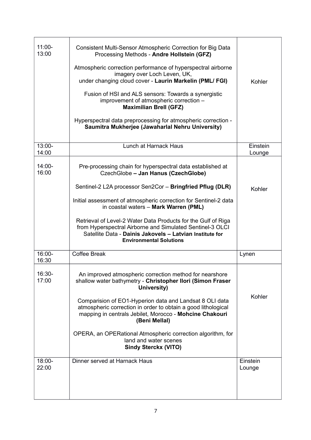| $11:00 -$<br>13:00 | Consistent Multi-Sensor Atmospheric Correction for Big Data<br>Processing Methods - Andre Hollstein (GFZ)<br>Atmospheric correction performance of hyperspectral airborne<br>imagery over Loch Leven, UK,<br>under changing cloud cover - Laurin Markelin (PML/ FGI)<br>Fusion of HSI and ALS sensors: Towards a synergistic<br>improvement of atmospheric correction -<br><b>Maximilian Brell (GFZ)</b><br>Hyperspectral data preprocessing for atmospheric correction -<br>Saumitra Mukherjee (Jawaharlal Nehru University) | Kohler             |
|--------------------|-------------------------------------------------------------------------------------------------------------------------------------------------------------------------------------------------------------------------------------------------------------------------------------------------------------------------------------------------------------------------------------------------------------------------------------------------------------------------------------------------------------------------------|--------------------|
| $13:00 -$<br>14:00 | Lunch at Harnack Haus                                                                                                                                                                                                                                                                                                                                                                                                                                                                                                         | Einstein<br>Lounge |
| $14:00 -$<br>16:00 | Pre-processing chain for hyperspectral data established at<br>CzechGlobe - Jan Hanus (CzechGlobe)                                                                                                                                                                                                                                                                                                                                                                                                                             |                    |
|                    | Sentinel-2 L2A processor Sen2Cor - Bringfried Pflug (DLR)                                                                                                                                                                                                                                                                                                                                                                                                                                                                     | Kohler             |
|                    | Initial assessment of atmospheric correction for Sentinel-2 data<br>in coastal waters - Mark Warren (PML)                                                                                                                                                                                                                                                                                                                                                                                                                     |                    |
|                    | Retrieval of Level-2 Water Data Products for the Gulf of Riga<br>from Hyperspectral Airborne and Simulated Sentinel-3 OLCI<br>Satellite Data - Dainis Jakovels - Latvian Institute for<br><b>Environmental Solutions</b>                                                                                                                                                                                                                                                                                                      |                    |
| 16:00-<br>16:30    | <b>Coffee Break</b>                                                                                                                                                                                                                                                                                                                                                                                                                                                                                                           | Lynen              |
| 16:30-<br>17:00    | An improved atmospheric correction method for nearshore<br>shallow water bathymetry - Christopher Ilori (Simon Fraser<br>University)                                                                                                                                                                                                                                                                                                                                                                                          |                    |
|                    | Comparision of EO1-Hyperion data and Landsat 8 OLI data<br>atmospheric correction in order to obtain a good lithological<br>mapping in centrals Jebilet, Morocco - Mohcine Chakouri<br>(Beni Mellal)                                                                                                                                                                                                                                                                                                                          | Kohler             |
|                    | OPERA, an OPERational Atmospheric correction algorithm, for<br>land and water scenes<br><b>Sindy Sterckx (VITO)</b>                                                                                                                                                                                                                                                                                                                                                                                                           |                    |
| $18:00 -$<br>22:00 | Dinner served at Harnack Haus                                                                                                                                                                                                                                                                                                                                                                                                                                                                                                 | Einstein<br>Lounge |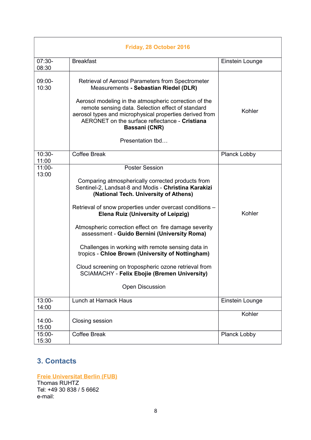| Friday, 28 October 2016 |                                                                                                                                                                                                                                                                                                                                                                                                                                                                                                                                                                                                                                          |                 |  |  |
|-------------------------|------------------------------------------------------------------------------------------------------------------------------------------------------------------------------------------------------------------------------------------------------------------------------------------------------------------------------------------------------------------------------------------------------------------------------------------------------------------------------------------------------------------------------------------------------------------------------------------------------------------------------------------|-----------------|--|--|
| $07:30-$<br>08:30       | <b>Breakfast</b>                                                                                                                                                                                                                                                                                                                                                                                                                                                                                                                                                                                                                         | Einstein Lounge |  |  |
| 09:00-<br>10:30         | Retrieval of Aerosol Parameters from Spectrometer<br>Measurements - Sebastian Riedel (DLR)                                                                                                                                                                                                                                                                                                                                                                                                                                                                                                                                               |                 |  |  |
|                         | Aerosol modeling in the atmospheric correction of the<br>remote sensing data. Selection effect of standard<br>aerosol types and microphysical properties derived from<br>AERONET on the surface reflectance - Cristiana<br>Bassani (CNR)                                                                                                                                                                                                                                                                                                                                                                                                 | Kohler          |  |  |
|                         | Presentation tbd                                                                                                                                                                                                                                                                                                                                                                                                                                                                                                                                                                                                                         |                 |  |  |
| $10:30-$<br>11:00       | <b>Coffee Break</b>                                                                                                                                                                                                                                                                                                                                                                                                                                                                                                                                                                                                                      | Planck Lobby    |  |  |
| $11:00 -$<br>13:00      | <b>Poster Session</b><br>Comparing atmospherically corrected products from<br>Sentinel-2, Landsat-8 and Modis - Christina Karakizi<br>(National Tech. University of Athens)<br>Retrieval of snow properties under overcast conditions -<br><b>Elena Ruiz (University of Leipzig)</b><br>Atmospheric correction effect on fire damage severity<br>assessment - Guido Bernini (University Roma)<br>Challenges in working with remote sensing data in<br>tropics - Chloe Brown (University of Nottingham)<br>Cloud screening on tropospheric ozone retrieval from<br><b>SCIAMACHY - Felix Ebojie (Bremen University)</b><br>Open Discussion | Kohler          |  |  |
| 13:00-<br>14:00         | Lunch at Harnack Haus                                                                                                                                                                                                                                                                                                                                                                                                                                                                                                                                                                                                                    | Einstein Lounge |  |  |
| $14:00 -$<br>15:00      | Closing session                                                                                                                                                                                                                                                                                                                                                                                                                                                                                                                                                                                                                          | Kohler          |  |  |
| 15:00-<br>15:30         | <b>Coffee Break</b>                                                                                                                                                                                                                                                                                                                                                                                                                                                                                                                                                                                                                      | Planck Lobby    |  |  |

## <span id="page-7-0"></span>**3. Contacts**

**Freie Universitat Berlin (FUB)** Thomas RUHTZ Tel: +49 30 838 / 5 6662 e-mail: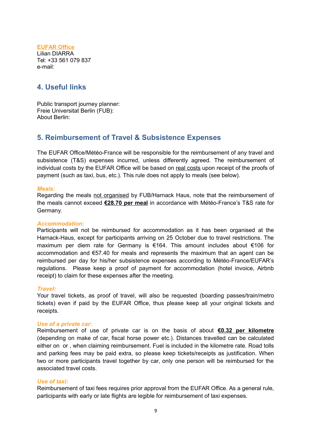#### **EUFAR Office** Lilian DIARRA Tel: +33 561 079 837 e-mail:

## <span id="page-8-1"></span>**4. Useful links**

Public transport journey planner: Freie Universitat Berlin (FUB): About Berlin:

### <span id="page-8-0"></span>**5. Reimbursement of Travel & Subsistence Expenses**

The EUFAR Office/Météo-France will be responsible for the reimbursement of any travel and subsistence (T&S) expenses incurred, unless differently agreed. The reimbursement of individual costs by the EUFAR Office will be based on real costs upon receipt of the proofs of payment (such as taxi, bus, etc.). This rule does not apply to meals (see below).

#### *Meals:*

Regarding the meals not organised by FUB/Harnack Haus, note that the reimbursement of the meals cannot exceed **€28.70 per meal** in accordance with Météo-France's T&S rate for Germany.

#### *Accommodation:*

Participants will not be reimbursed for accommodation as it has been organised at the Harnack-Haus, except for participants arriving on 25 October due to travel restrictions. The maximum per diem rate for Germany is €164. This amount includes about €106 for accommodation and €57.40 for meals and represents the maximum that an agent can be reimbursed per day for his/her subsistence expenses according to Météo-France/EUFAR's regulations. Please keep a proof of payment for accommodation (hotel invoice, Airbnb receipt) to claim for these expenses after the meeting.

#### *Travel:*

Your travel tickets, as proof of travel, will also be requested (boarding passes/train/metro tickets) even if paid by the EUFAR Office, thus please keep all your original tickets and receipts.

#### *Use of a private car:*

Reimbursement of use of private car is on the basis of about **€0.32 per kilometre** (depending on make of car, fiscal horse power etc.). Distances travelled can be calculated either on or , when claiming reimbursement. Fuel is included in the kilometre rate. Road tolls and parking fees may be paid extra, so please keep tickets/receipts as justification. When two or more participants travel together by car, only one person will be reimbursed for the associated travel costs.

#### *Use of taxi:*

Reimbursement of taxi fees requires prior approval from the EUFAR Office. As a general rule, participants with early or late flights are legible for reimbursement of taxi expenses.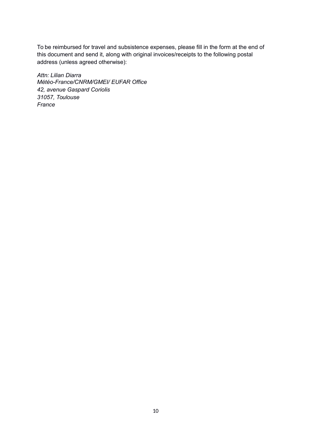To be reimbursed for travel and subsistence expenses, please fill in the form at the end of this document and send it, along with original invoices/receipts to the following postal address (unless agreed otherwise):

*Attn: Lilian Diarra Météo-France/CNRM/GMEI/ EUFAR Office 42, avenue Gaspard Coriolis 31057, Toulouse France*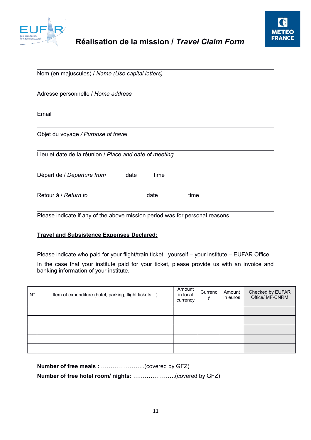



| Nom (en majuscules) / Name (Use capital letters) |                                                                |  |  |  |
|--------------------------------------------------|----------------------------------------------------------------|--|--|--|
|                                                  |                                                                |  |  |  |
|                                                  |                                                                |  |  |  |
|                                                  |                                                                |  |  |  |
|                                                  |                                                                |  |  |  |
| time                                             |                                                                |  |  |  |
| date                                             | time                                                           |  |  |  |
|                                                  | Lieu et date de la réunion / Place and date of meeting<br>date |  |  |  |

Please indicate if any of the above mission period was for personal reasons

#### **Travel and Subsistence Expenses Declared:**

Please indicate who paid for your flight/train ticket: yourself – your institute – EUFAR Office

In the case that your institute paid for your ticket, please provide us with an invoice and banking information of your institute.

| $N^{\circ}$ | Item of expenditure (hotel, parking, flight tickets) | Amount<br>in local<br>currency | Currenc<br>۷ | Amount<br>in euros | Checked by EUFAR<br>Office/ MF-CNRM |
|-------------|------------------------------------------------------|--------------------------------|--------------|--------------------|-------------------------------------|
|             |                                                      |                                |              |                    |                                     |
|             |                                                      |                                |              |                    |                                     |
|             |                                                      |                                |              |                    |                                     |
|             |                                                      |                                |              |                    |                                     |
|             |                                                      |                                |              |                    |                                     |

|--|--|

**Number of free hotel room/ nights:** ………………….(covered by GFZ)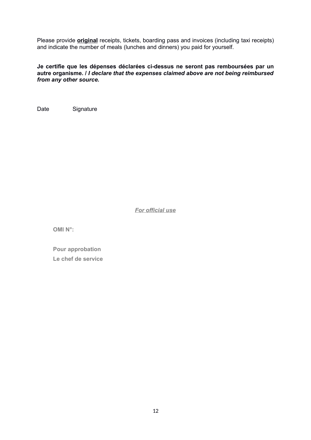Please provide **original** receipts, tickets, boarding pass and invoices (including taxi receipts) and indicate the number of meals (lunches and dinners) you paid for yourself.

#### **Je certifie que les dépenses déclarées ci-dessus ne seront pas remboursées par un autre organisme. /** *I declare that the expenses claimed above are not being reimbursed from any other source.*

Date Signature

*For official use*

 **OMI N°:**

 **Pour approbation Le chef de service**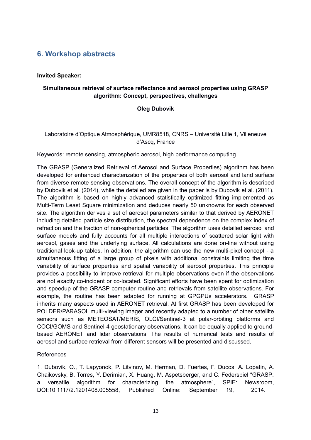## <span id="page-12-0"></span>**6. Workshop abstracts**

#### **Invited Speaker:**

#### **Simultaneous retrieval of surface reflectance and aerosol properties using GRASP algorithm: Concept, perspectives, challenges**

#### **Oleg Dubovik**

#### Laboratoire d'Optique Atmosphérique, UMR8518, CNRS – Université Lille 1, Villeneuve d'Ascq, France

Keywords: remote sensing, atmospheric aerosol, high performance computing

The GRASP (Generalized Retrieval of Aerosol and Surface Properties) algorithm has been developed for enhanced characterization of the properties of both aerosol and land surface from diverse remote sensing observations. The overall concept of the algorithm is described by Dubovik et al. (2014), while the detailed are given in the paper is by Dubovik et al. (2011). The algorithm is based on highly advanced statistically optimized fitting implemented as Multi-Term Least Square minimization and deduces nearly 50 unknowns for each observed site. The algorithm derives a set of aerosol parameters similar to that derived by AERONET including detailed particle size distribution, the spectral dependence on the complex index of refraction and the fraction of non-spherical particles. The algorithm uses detailed aerosol and surface models and fully accounts for all multiple interactions of scattered solar light with aerosol, gases and the underlying surface. All calculations are done on-line without using traditional look-up tables. In addition, the algorithm can use the new multi-pixel concept - a simultaneous fitting of a large group of pixels with additional constraints limiting the time variability of surface properties and spatial variability of aerosol properties. This principle provides a possibility to improve retrieval for multiple observations even if the observations are not exactly co-incident or co-located. Significant efforts have been spent for optimization and speedup of the GRASP computer routine and retrievals from satellite observations. For example, the routine has been adapted for running at GPGPUs accelerators. GRASP inherits many aspects used in AERONET retrieval. At first GRASP has been developed for POLDER/PARASOL multi-viewing imager and recently adapted to a number of other satellite sensors such as METEOSAT/MERIS, OLCI/Sentinel-3 at polar-orbiting platforms and COCI/GOMS and Sentinel-4 geostationary observations. It can be equally applied to groundbased AERONET and lidar observations. The results of numerical tests and results of aerosol and surface retrieval from different sensors will be presented and discussed.

#### References

1. Dubovik, O., T. Lapyonok, P. Litvinov, M. Herman, D. Fuertes, F. Ducos, A. Lopatin, A. Chaikovsky, B. Torres, Y. Derimian, X. Huang, M. Aspetsberger, and C. Federspiel "GRASP: a versatile algorithm for characterizing the atmosphere", SPIE: Newsroom, DOI:10.1117/2.1201408.005558, Published Online: September 19, 2014.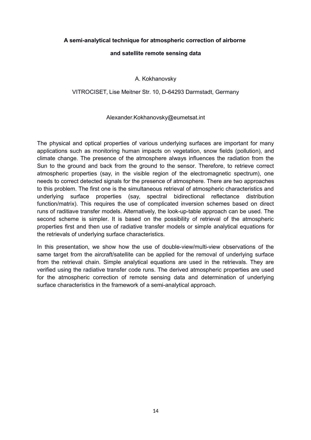#### **A semi-analytical technique for atmospheric correction of airborne**

#### **and satellite remote sensing data**

#### A. Kokhanovsky

#### VITROCISET, Lise Meitner Str. 10, D-64293 Darmstadt, Germany

#### Alexander.Kokhanovsky@eumetsat.int

The physical and optical properties of various underlying surfaces are important for many applications such as monitoring human impacts on vegetation, snow fields (pollution), and climate change. The presence of the atmosphere always influences the radiation from the Sun to the ground and back from the ground to the sensor. Therefore, to retrieve correct atmospheric properties (say, in the visible region of the electromagnetic spectrum), one needs to correct detected signals for the presence of atmosphere. There are two approaches to this problem. The first one is the simultaneous retrieval of atmospheric characteristics and underlying surface properties (say, spectral bidirectional reflectance distribution function/matrix). This requires the use of complicated inversion schemes based on direct runs of raditiave transfer models. Alternatively, the look-up-table approach can be used. The second scheme is simpler. It is based on the possibility of retrieval of the atmospheric properties first and then use of radiative transfer models or simple analytical equations for the retrievals of underlying surface characteristics.

In this presentation, we show how the use of double-view/multi-view observations of the same target from the aircraft/satellite can be applied for the removal of underlying surface from the retrieval chain. Simple analytical equations are used in the retrievals. They are verified using the radiative transfer code runs. The derived atmospheric properties are used for the atmospheric correction of remote sensing data and determination of underlying surface characteristics in the framework of a semi-analytical approach.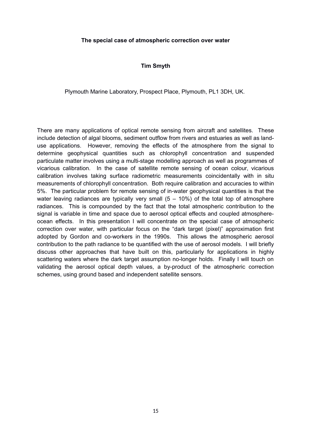#### **The special case of atmospheric correction over water**

#### **Tim Smyth**

Plymouth Marine Laboratory, Prospect Place, Plymouth, PL1 3DH, UK.

There are many applications of optical remote sensing from aircraft and satellites. These include detection of algal blooms, sediment outflow from rivers and estuaries as well as landuse applications. However, removing the effects of the atmosphere from the signal to determine geophysical quantities such as chlorophyll concentration and suspended particulate matter involves using a multi-stage modelling approach as well as programmes of vicarious calibration. In the case of satellite remote sensing of ocean colour, vicarious calibration involves taking surface radiometric measurements coincidentally with in situ measurements of chlorophyll concentration. Both require calibration and accuracies to within 5%. The particular problem for remote sensing of in-water geophysical quantities is that the water leaving radiances are typically very small  $(5 - 10\%)$  of the total top of atmosphere radiances. This is compounded by the fact that the total atmospheric contribution to the signal is variable in time and space due to aerosol optical effects and coupled atmosphereocean effects. In this presentation I will concentrate on the special case of atmospheric correction over water, with particular focus on the "dark target (pixel)" approximation first adopted by Gordon and co-workers in the 1990s. This allows the atmospheric aerosol contribution to the path radiance to be quantified with the use of aerosol models. I will briefly discuss other approaches that have built on this, particularly for applications in highly scattering waters where the dark target assumption no-longer holds. Finally I will touch on validating the aerosol optical depth values, a by-product of the atmospheric correction schemes, using ground based and independent satellite sensors.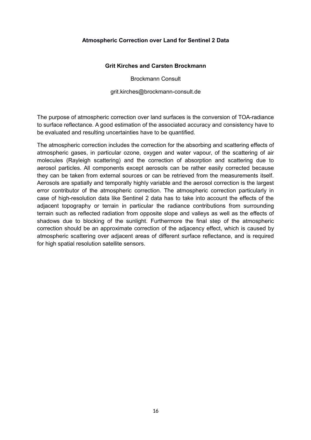#### **Atmospheric Correction over Land for Sentinel 2 Data**

#### **Grit Kirches and Carsten Brockmann**

Brockmann Consult

grit.kirches@brockmann-consult.de

The purpose of atmospheric correction over land surfaces is the conversion of TOA-radiance to surface reflectance. A good estimation of the associated accuracy and consistency have to be evaluated and resulting uncertainties have to be quantified.

The atmospheric correction includes the correction for the absorbing and scattering effects of atmospheric gases, in particular ozone, oxygen and water vapour, of the scattering of air molecules (Rayleigh scattering) and the correction of absorption and scattering due to aerosol particles. All components except aerosols can be rather easily corrected because they can be taken from external sources or can be retrieved from the measurements itself. Aerosols are spatially and temporally highly variable and the aerosol correction is the largest error contributor of the atmospheric correction. The atmospheric correction particularly in case of high-resolution data like Sentinel 2 data has to take into account the effects of the adjacent topography or terrain in particular the radiance contributions from surrounding terrain such as reflected radiation from opposite slope and valleys as well as the effects of shadows due to blocking of the sunlight. Furthermore the final step of the atmospheric correction should be an approximate correction of the adjacency effect, which is caused by atmospheric scattering over adjacent areas of different surface reflectance, and is required for high spatial resolution satellite sensors.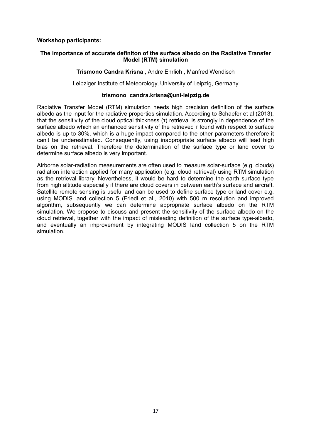#### **Workshop participants:**

#### **The importance of accurate definiton of the surface albedo on the Radiative Transfer Model (RTM) simulation**

#### **Trismono Candra Krisna** , Andre Ehrlich , Manfred Wendisch

Leipziger Institute of Meteorology, University of Leipzig, Germany

#### **trismono\_candra.krisna@uni-leipzig.de**

Radiative Transfer Model (RTM) simulation needs high precision definition of the surface albedo as the input for the radiative properties simulation. According to Schaefer et al (2013), that the sensitivity of the cloud optical thickness (τ) retrieval is strongly in dependence of the surface albedo which an enhanced sensitivity of the retrieved τ found with respect to surface albedo is up to 30%, which is a huge impact compared to the other parameters therefore it can't be underestimated. Consequently, using inappropriate surface albedo will lead high bias on the retrieval. Therefore the determination of the surface type or land cover to determine surface albedo is very important.

Airborne solar-radiation measurements are often used to measure solar-surface (e.g. clouds) radiation interaction applied for many application (e.g. cloud retrieval) using RTM simulation as the retrieval library. Nevertheless, it would be hard to determine the earth surface type from high altitude especially if there are cloud covers in between earth's surface and aircraft. Satellite remote sensing is useful and can be used to define surface type or land cover e.g. using MODIS land collection 5 (Friedl et al., 2010) with 500 m resolution and improved algorithm, subsequently we can determine appropriate surface albedo on the RTM simulation. We propose to discuss and present the sensitivity of the surface albedo on the cloud retrieval, together with the impact of misleading definition of the surface type-albedo, and eventually an improvement by integrating MODIS land collection 5 on the RTM simulation.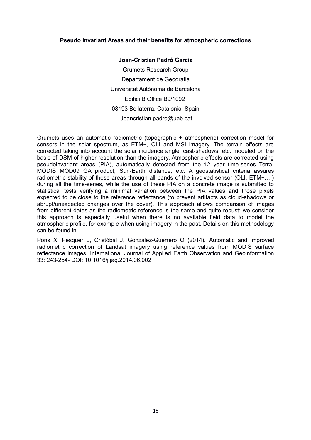#### **Pseudo Invariant Areas and their benefits for atmospheric corrections**

**Joan-Cristian Padró Garcia** Grumets Research Group Departament de Geografia Universitat Autònoma de Barcelona Edifici B Office B9/1092 08193 Bellaterra, Catalonia, Spain Joancristian.padro@uab.cat

Grumets uses an automatic radiometric (topographic + atmospheric) correction model for sensors in the solar spectrum, as ETM+, OLI and MSI imagery. The terrain effects are corrected taking into account the solar incidence angle, cast-shadows, etc. modeled on the basis of DSM of higher resolution than the imagery. Atmospheric effects are corrected using pseudoinvariant areas (PIA), automatically detected from the 12 year time-series Terra-MODIS MOD09 GA product, Sun-Earth distance, etc. A geostatistical criteria assures radiometric stability of these areas through all bands of the involved sensor (OLI, ETM+...) during all the time-series, while the use of these PIA on a concrete image is submitted to statistical tests verifying a minimal variation between the PIA values and those pixels expected to be close to the reference reflectance (to prevent artifacts as cloud-shadows or abrupt/unexpected changes over the cover). This approach allows comparison of images from different dates as the radiometric reference is the same and quite robust; we consider this approach is especially useful when there is no available field data to model the atmospheric profile, for example when using imagery in the past. Details on this methodology can be found in:

Pons X. Pesquer L, Cristóbal J, González-Guerrero O (2014). Automatic and improved radiometric correction of Landsat imagery using reference values from MODIS surface reflectance images. International Journal of Applied Earth Observation and Geoinformation 33: 243-254- DOI: 10.1016/j.jag.2014.06.002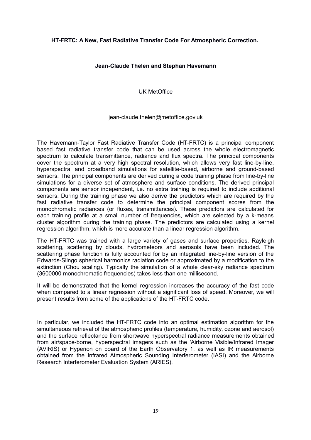#### **HT-FRTC: A New, Fast Radiative Transfer Code For Atmospheric Correction.**

#### **Jean-Claude Thelen and Stephan Havemann**

UK MetOffice

#### jean-claude.thelen@metoffice.gov.uk

The Havemann-Taylor Fast Radiative Transfer Code (HT-FRTC) is a principal component based fast radiative transfer code that can be used across the whole electromagnetic spectrum to calculate transmittance, radiance and flux spectra. The principal components cover the spectrum at a very high spectral resolution, which allows very fast line-by-line, hyperspectral and broadband simulations for satellite-based, airborne and ground-based sensors. The principal components are derived during a code training phase from line-by-line simulations for a diverse set of atmosphere and surface conditions. The derived principal components are sensor independent, i.e. no extra training is required to include additional sensors. During the training phase we also derive the predictors which are required by the fast radiative transfer code to determine the principal component scores from the monochromatic radiances (or fluxes, transmittances). These predictors are calculated for each training profile at a small number of frequencies, which are selected by a k-means cluster algorithm during the training phase. The predictors are calculated using a kernel regression algorithm, which is more accurate than a linear regression algorithm.

The HT-FRTC was trained with a large variety of gases and surface properties. Rayleigh scattering, scattering by clouds, hydrometeors and aerosols have been included. The scattering phase function is fully accounted for by an integrated line-by-line version of the Edwards-Slingo spherical harmonics radiation code or approximated by a modification to the extinction (Chou scaling). Typically the simulation of a whole clear-sky radiance spectrum (3600000 monochromatic frequencies) takes less than one millisecond.

It will be demonstrated that the kernel regression increases the accuracy of the fast code when compared to a linear regression without a significant loss of speed. Moreover, we will present results from some of the applications of the HT-FRTC code.

In particular, we included the HT-FRTC code into an optimal estimation algorithm for the simultaneous retrieval of the atmospheric profiles (temperature, humidity, ozone and aerosol) and the surface reflectance from shortwave hyperspectral radiance measurements obtained from air/space-borne, hyperspectral imagers such as the 'Airborne Visible/Infrared Imager (AVIRIS) or Hyperion on board of the Earth Observatory 1, as well as IR measurements obtained from the Infrared Atmospheric Sounding Interferometer (IASI) and the Airborne Research Interferometer Evaluation System (ARIES).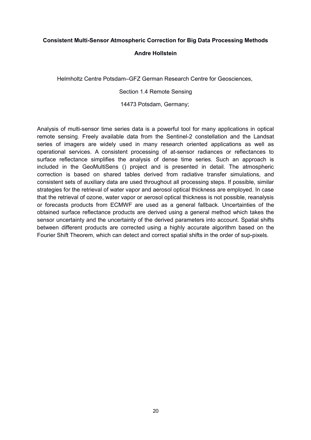## **Consistent Multi-Sensor Atmospheric Correction for Big Data Processing Methods**

#### **Andre Hollstein**

Helmholtz Centre Potsdam–GFZ German Research Centre for Geosciences,

Section 1.4 Remote Sensing

14473 Potsdam, Germany;

Analysis of multi-sensor time series data is a powerful tool for many applications in optical remote sensing. Freely available data from the Sentinel-2 constellation and the Landsat series of imagers are widely used in many research oriented applications as well as operational services. A consistent processing of at-sensor radiances or reflectances to surface reflectance simplifies the analysis of dense time series. Such an approach is included in the GeoMultiSens () project and is presented in detail. The atmospheric correction is based on shared tables derived from radiative transfer simulations, and consistent sets of auxiliary data are used throughout all processing steps. If possible, similar strategies for the retrieval of water vapor and aerosol optical thickness are employed. In case that the retrieval of ozone, water vapor or aerosol optical thickness is not possible, reanalysis or forecasts products from ECMWF are used as a general fallback. Uncertainties of the obtained surface reflectance products are derived using a general method which takes the sensor uncertainty and the uncertainty of the derived parameters into account. Spatial shifts between different products are corrected using a highly accurate algorithm based on the Fourier Shift Theorem, which can detect and correct spatial shifts in the order of sup-pixels.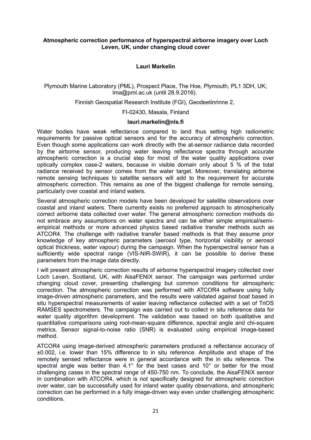#### **Atmospheric correction performance of hyperspectral airborne imagery over Loch Leven, UK, under changing cloud cover**

#### **Lauri Markelin**

Plymouth Marine Laboratory (PML), Prospect Place, The Hoe, Plymouth, PL1 3DH, UK; lma@pml.ac.uk (until 28.9.2016).

Finnish Geospatial Research Institute (FGI), Geodeetinrinne 2,

FI-02430, Masala, Finland

#### **lauri.markelin@nls.fi**

Water bodies have weak reflectance compared to land thus setting high radiometric requirements for passive optical sensors and for the accuracy of atmospheric correction. Even though some applications can work directly with the at-sensor radiance data recorded by the airborne sensor, producing water leaving reflectance spectra through accurate atmospheric correction is a crucial step for most of the water quality applications over optically complex case-2 waters, because in visible domain only about 5 % of the total radiance received by sensor comes from the water target. Moreover, translating airborne remote sensing techniques to satellite sensors will add to the requirement for accurate atmospheric correction. This remains as one of the biggest challenge for remote sensing, particularly over coastal and inland waters.

Several atmospheric correction models have been developed for satellite observations over coastal and inland waters. There currently exists no preferred approach to atmospherically correct airborne data collected over water. The general atmospheric correction methods do not embrace any assumptions on water spectra and can be either simple empirical/semiempirical methods or more advanced physics based radiative transfer methods such as ATCOR4. The challenge with radiative transfer based methods is that they assume prior knowledge of key atmospheric parameters (aerosol type, horizontal visibility or aerosol optical thickness, water vapour) during the campaign. When the hyperspectral sensor has a sufficiently wide spectral range (VIS-NIR-SWIR), it can be possible to derive these parameters from the image data directly.

I will present atmospheric correction results of airborne hyperspectral imagery collected over Loch Leven, Scotland, UK, with AisaFENIX sensor. The campaign was performed under changing cloud cover, presenting challenging but common conditions for atmospheric correction. The atmospheric correction was performed with ATCOR4 software using fully image-driven atmospheric parameters, and the results were validated against boat based in situ hyperspectral measurements of water leaving reflectance collected with a set of TriOS RAMSES spectrometers. The campaign was carried out to collect in situ reference data for water quality algorithm development. The validation was based on both qualitative and quantitative comparisons using root-mean-square difference, spectral angle and chi-square metrics. Sensor signal-to-noise ratio (SNR) is evaluated using empirical image-based method.

ATCOR4 using image-derived atmospheric parameters produced a reflectance accuracy of ±0.002, i.e. lower than 15% difference to in situ reference. Amplitude and shape of the remotely sensed reflectance were in general accordance with the in situ reference. The spectral angle was better than 4.1° for the best cases and 10° or better for the most challenging cases in the spectral range of 450-750 nm. To conclude, the AisaFENIX sensor in combination with ATCOR4, which is not specifically designed for atmospheric correction over water, can be successfully used for inland water quality observations, and atmospheric correction can be performed in a fully image-driven way even under challenging atmospheric conditions.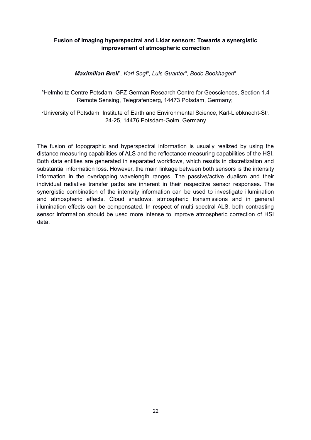#### **Fusion of imaging hyperspectral and Lidar sensors: Towards a synergistic improvement of atmospheric correction**

*Maximilian Brell<sup>a</sup> , Karl Segl<sup>a</sup> , Luis Guanter<sup>a</sup> , Bodo Bookhagen<sup>b</sup>*

<sup>a</sup>Helmholtz Centre Potsdam–GFZ German Research Centre for Geosciences, Section 1.4 Remote Sensing, Telegrafenberg, 14473 Potsdam, Germany;

<sup>b</sup>University of Potsdam, Institute of Earth and Environmental Science, Karl-Liebknecht-Str. 24-25, 14476 Potsdam-Golm, Germany

The fusion of topographic and hyperspectral information is usually realized by using the distance measuring capabilities of ALS and the reflectance measuring capabilities of the HSI. Both data entities are generated in separated workflows, which results in discretization and substantial information loss. However, the main linkage between both sensors is the intensity information in the overlapping wavelength ranges. The passive/active dualism and their individual radiative transfer paths are inherent in their respective sensor responses. The synergistic combination of the intensity information can be used to investigate illumination and atmospheric effects. Cloud shadows, atmospheric transmissions and in general illumination effects can be compensated. In respect of multi spectral ALS, both contrasting sensor information should be used more intense to improve atmospheric correction of HSI data.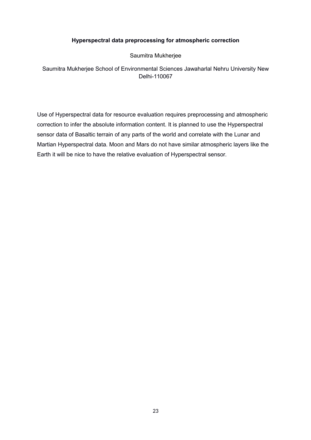#### **Hyperspectral data preprocessing for atmospheric correction**

Saumitra Mukherjee

Saumitra Mukherjee School of Environmental Sciences Jawaharlal Nehru University New Delhi-110067

Use of Hyperspectral data for resource evaluation requires preprocessing and atmospheric correction to infer the absolute information content. It is planned to use the Hyperspectral sensor data of Basaltic terrain of any parts of the world and correlate with the Lunar and Martian Hyperspectral data. Moon and Mars do not have similar atmospheric layers like the Earth it will be nice to have the relative evaluation of Hyperspectral sensor.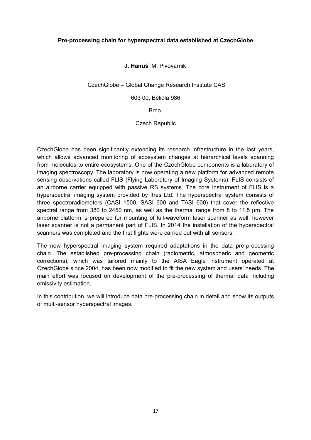#### **Pre-processing chain for hyperspectral data established at CzechGlobe**

#### **J. Hanuš**, M. Pivovarnik

CzechGlobe – Global Change Research Institute CAS

603 00, Bělidla 986

**Brno** 

Czech Republic

CzechGlobe has been significantly extending its research infrastructure in the last years, which allows advanced monitoring of ecosystem changes at hierarchical levels spanning from molecules to entire ecosystems. One of the CzechGlobe components is a laboratory of imaging spectroscopy. The laboratory is now operating a new platform for advanced remote sensing observations called FLIS (Flying Laboratory of Imaging Systems). FLIS consists of an airborne carrier equipped with passive RS systems. The core instrument of FLIS is a hyperspectral imaging system provided by Itres Ltd. The hyperspectral system consists of three spectroradiometers (CASI 1500, SASI 600 and TASI 600) that cover the reflective spectral range from 380 to 2450 nm, as well as the thermal range from 8 to 11.5 μm. The airborne platform is prepared for mounting of full-waveform laser scanner as well, however laser scanner is not a permanent part of FLIS. In 2014 the installation of the hyperspectral scanners was completed and the first flights were carried out with all sensors.

The new hyperspectral imaging system required adaptations in the data pre-processing chain. The established pre-processing chain (radiometric, atmospheric and geometric corrections), which was tailored mainly to the AISA Eagle instrument operated at CzechGlobe since 2004, has been now modified to fit the new system and users' needs. The main effort was focused on development of the pre-processing of thermal data including emissivity estimation.

In this contribution, we will introduce data pre-processing chain in detail and show its outputs of multi-sensor hyperspectral images.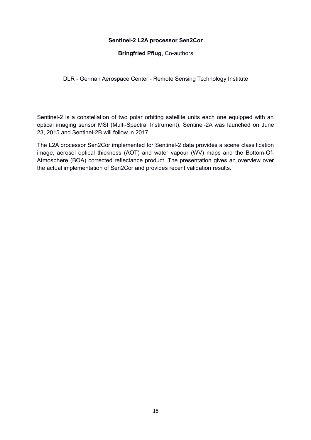#### **Sentinel-2 L2A processor Sen2Cor**

#### **Bringfried Pflug**, Co-authors

DLR - German Aerospace Center - Remote Sensing Technology Institute

Sentinel-2 is a constellation of two polar orbiting satellite units each one equipped with an optical imaging sensor MSI (Multi-Spectral Instrument). Sentinel-2A was launched on June 23, 2015 and Sentinel-2B will follow in 2017.

The L2A processor Sen2Cor implemented for Sentinel-2 data provides a scene classification image, aerosol optical thickness (AOT) and water vapour (WV) maps and the Bottom-Of-Atmosphere (BOA) corrected reflectance product. The presentation gives an overview over the actual implementation of Sen2Cor and provides recent validation results.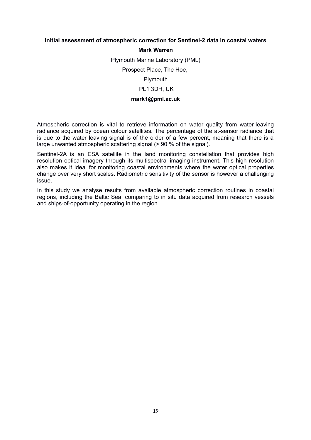#### **Initial assessment of atmospheric correction for Sentinel-2 data in coastal waters**

#### **Mark Warren**

Plymouth Marine Laboratory (PML)

Prospect Place, The Hoe,

Plymouth

PL1 3DH, UK

#### **mark1@pml.ac.uk**

Atmospheric correction is vital to retrieve information on water quality from water-leaving radiance acquired by ocean colour satellites. The percentage of the at-sensor radiance that is due to the water leaving signal is of the order of a few percent, meaning that there is a large unwanted atmospheric scattering signal (> 90 % of the signal).

Sentinel-2A is an ESA satellite in the land monitoring constellation that provides high resolution optical imagery through its multispectral imaging instrument. This high resolution also makes it ideal for monitoring coastal environments where the water optical properties change over very short scales. Radiometric sensitivity of the sensor is however a challenging issue.

In this study we analyse results from available atmospheric correction routines in coastal regions, including the Baltic Sea, comparing to in situ data acquired from research vessels and ships-of-opportunity operating in the region.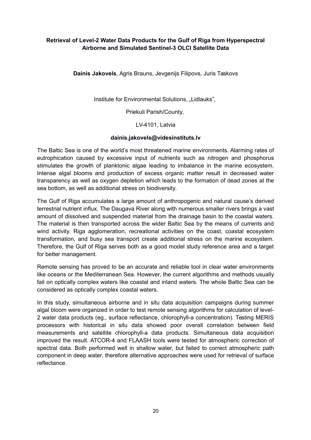#### **Retrieval of Level-2 Water Data Products for the Gulf of Riga from Hyperspectral Airborne and Simulated Sentinel-3 OLCI Satellite Data**

**Dainis Jakovels**, Agris Brauns, Jevgenijs Filipovs, Juris Taskovs

Institute for Environmental Solutions, "Lidlauks",

Priekuli Parish/County,

LV-4101, Latvia

#### **dainis.jakovels@videsinstituts.lv**

The Baltic Sea is one of the world's most threatened marine environments. Alarming rates of eutrophication caused by excessive input of nutrients such as nitrogen and phosphorus stimulates the growth of planktonic algae leading to imbalance in the marine ecosystem. Intense algal blooms and production of excess organic matter result in decreased water transparency as well as oxygen depletion which leads to the formation of dead zones at the sea bottom, as well as additional stress on biodiversity.

The Gulf of Riga accumulates a large amount of anthropogenic and natural cause's derived terrestrial nutrient influx. The Daugava River along with numerous smaller rivers brings a vast amount of dissolved and suspended material from the drainage basin to the coastal waters. The material is then transported across the wider Baltic Sea by the means of currents and wind activity. Riga agglomeration, recreational activities on the coast, coastal ecosystem transformation, and busy sea transport create additional stress on the marine ecosystem. Therefore, the Gulf of Riga serves both as a good model study reference area and a target for better management.

Remote sensing has proved to be an accurate and reliable tool in clear water environments like oceans or the Mediterranean Sea. However, the current algorithms and methods usually fail on optically complex waters like coastal and inland waters. The whole Baltic Sea can be considered as optically complex coastal waters.

In this study, simultaneous airborne and in situ data acquisition campaigns during summer algal bloom were organized in order to test remote sensing algorithms for calculation of level-2 water data products (eg., surface reflectance, chlorophyll-a concentration). Testing MERIS processors with historical in situ data showed poor overall correlation between field measurements and satellite chlorophyll-a data products. Simultaneous data acquisition improved the result. ATCOR-4 and FLAASH tools were tested for atmospheric correction of spectral data. Both performed well in shallow water, but failed to correct atmospheric path component in deep water, therefore alternative approaches were used for retrieval of surface reflectance.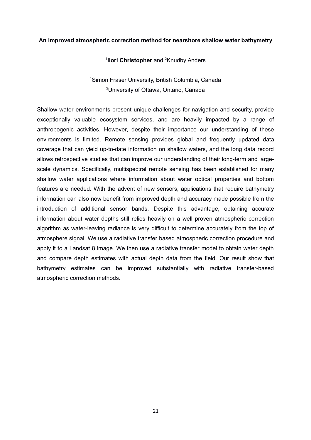#### **An improved atmospheric correction method for nearshore shallow water bathymetry**

#### <sup>1</sup> **Ilori Christopher** and <sup>2</sup> Knudby Anders

<sup>1</sup>Simon Fraser University, British Columbia, Canada <sup>2</sup>University of Ottawa, Ontario, Canada

Shallow water environments present unique challenges for navigation and security, provide exceptionally valuable ecosystem services, and are heavily impacted by a range of anthropogenic activities. However, despite their importance our understanding of these environments is limited. Remote sensing provides global and frequently updated data coverage that can yield up-to-date information on shallow waters, and the long data record allows retrospective studies that can improve our understanding of their long-term and largescale dynamics. Specifically, multispectral remote sensing has been established for many shallow water applications where information about water optical properties and bottom features are needed. With the advent of new sensors, applications that require bathymetry information can also now benefit from improved depth and accuracy made possible from the introduction of additional sensor bands. Despite this advantage, obtaining accurate information about water depths still relies heavily on a well proven atmospheric correction algorithm as water-leaving radiance is very difficult to determine accurately from the top of atmosphere signal. We use a radiative transfer based atmospheric correction procedure and apply it to a Landsat 8 image. We then use a radiative transfer model to obtain water depth and compare depth estimates with actual depth data from the field. Our result show that bathymetry estimates can be improved substantially with radiative transfer-based atmospheric correction methods.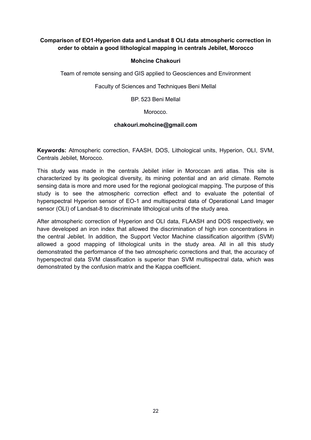#### **Comparison of EO1-Hyperion data and Landsat 8 OLI data atmospheric correction in order to obtain a good lithological mapping in centrals Jebilet, Morocco**

#### **Mohcine Chakouri**

Team of remote sensing and GIS applied to Geosciences and Environment

Faculty of Sciences and Techniques Beni Mellal

BP. 523 Beni Mellal

Morocco.

#### **chakouri.mohcine@gmail.com**

**Keywords:** Atmospheric correction, FAASH, DOS, Lithological units, Hyperion, OLI, SVM, Centrals Jebilet, Morocco.

This study was made in the centrals Jebilet inlier in Moroccan anti atlas. This site is characterized by its geological diversity, its mining potential and an arid climate. Remote sensing data is more and more used for the regional geological mapping. The purpose of this study is to see the atmospheric correction effect and to evaluate the potential of hyperspectral Hyperion sensor of EO-1 and multispectral data of Operational Land Imager sensor (OLI) of Landsat-8 to discriminate lithological units of the study area.

After atmospheric correction of Hyperion and OLI data, FLAASH and DOS respectively, we have developed an iron index that allowed the discrimination of high iron concentrations in the central Jebilet. In addition, the Support Vector Machine classification algorithm (SVM) allowed a good mapping of lithological units in the study area. All in all this study demonstrated the performance of the two atmospheric corrections and that, the accuracy of hyperspectral data SVM classification is superior than SVM multispectral data, which was demonstrated by the confusion matrix and the Kappa coefficient.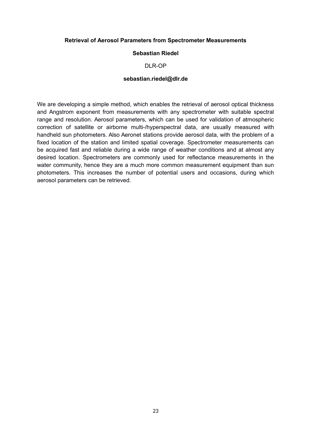#### **Retrieval of Aerosol Parameters from Spectrometer Measurements**

#### **Sebastian Riedel**

#### DLR-OP

#### **sebastian.riedel@dlr.de**

We are developing a simple method, which enables the retrieval of aerosol optical thickness and Angstrom exponent from measurements with any spectrometer with suitable spectral range and resolution. Aerosol parameters, which can be used for validation of atmospheric correction of satellite or airborne multi-/hyperspectral data, are usually measured with handheld sun photometers. Also Aeronet stations provide aerosol data, with the problem of a fixed location of the station and limited spatial coverage. Spectrometer measurements can be acquired fast and reliable during a wide range of weather conditions and at almost any desired location. Spectrometers are commonly used for reflectance measurements in the water community, hence they are a much more common measurement equipment than sun photometers. This increases the number of potential users and occasions, during which aerosol parameters can be retrieved.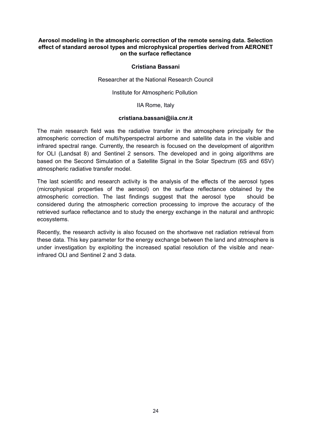#### **Aerosol modeling in the atmospheric correction of the remote sensing data. Selection effect of standard aerosol types and microphysical properties derived from AERONET on the surface reflectance**

#### **Cristiana Bassani**

Researcher at the National Research Council

Institute for Atmospheric Pollution

IIA Rome, Italy

#### **cristiana.bassani@iia.cnr.it**

The main research field was the radiative transfer in the atmosphere principally for the atmospheric correction of multi/hyperspectral airborne and satellite data in the visible and infrared spectral range. Currently, the research is focused on the development of algorithm for OLI (Landsat 8) and Sentinel 2 sensors. The developed and in going algorithms are based on the Second Simulation of a Satellite Signal in the Solar Spectrum (6S and 6SV) atmospheric radiative transfer model.

The last scientific and research activity is the analysis of the effects of the aerosol types (microphysical properties of the aerosol) on the surface reflectance obtained by the atmospheric correction. The last findings suggest that the aerosol type should be considered during the atmospheric correction processing to improve the accuracy of the retrieved surface reflectance and to study the energy exchange in the natural and anthropic ecosystems.

Recently, the research activity is also focused on the shortwave net radiation retrieval from these data. This key parameter for the energy exchange between the land and atmosphere is under investigation by exploiting the increased spatial resolution of the visible and nearinfrared OLI and Sentinel 2 and 3 data.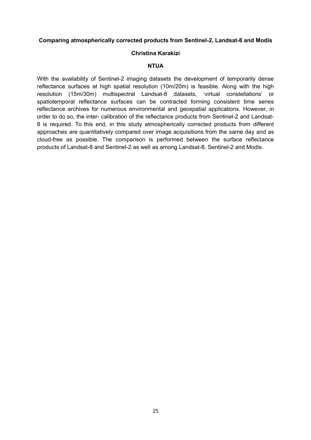#### **Comparing atmospherically corrected products from Sentinel-2, Landsat-8 and Modis**

#### **Christina Karakizi**

#### **NTUA**

With the availability of Sentinel-2 imaging datasets the development of temporarily dense reflectance surfaces at high spatial resolution (10m/20m) is feasible. Along with the high resolution (15m/30m) multispectral Landsat-8 datasets, 'virtual constellations' or spatiotemporal reflectance surfaces can be contracted forming consistent time series reflectance archives for numerous environmental and geospatial applications. However, in order to do so, the inter- calibration of the reflectance products from Sentinel-2 and Landsat-8 is required. To this end, in this study atmospherically corrected products from different approaches are quantitatively compared over image acquisitions from the same day and as cloud-free as possible. The comparison is performed between the surface reflectance products of Landsat-8 and Sentinel-2 as well as among Landsat-8, Sentinel-2 and Modis.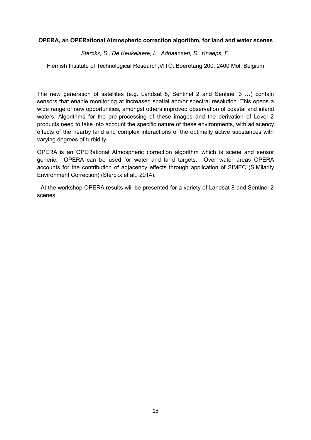#### **OPERA, an OPERational Atmospheric correction algorithm, for land and water scenes**

*Sterckx, S., De Keukelaere, L. Adriaensen, S., Knaeps, E.*

Flemish Institute of Technological Research,VITO, Boeretang 200, 2400 Mol, Belgium

The new generation of satellites (e.g. Landsat 8, Sentinel 2 and Sentinel 3 …) contain sensors that enable monitoring at increased spatial and/or spectral resolution. This opens a wide range of new opportunities, amongst others improved observation of coastal and inland waters. Algorithms for the pre-processing of these images and the derivation of Level 2 products need to take into account the specific nature of these environments, with adjacency effects of the nearby land and complex interactions of the optimally active substances with varying degrees of turbidity.

OPERA is an OPERational Atmospheric correction algorithm which is scene and sensor generic. OPERA can be used for water and land targets. Over water areas OPERA accounts for the contribution of adjacency effects through application of SIMEC (SIMilarity Environment Correction) (Sterckx et al., 2014).

 At the workshop OPERA results will be presented for a variety of Landsat-8 and Sentinel-2 scenes.